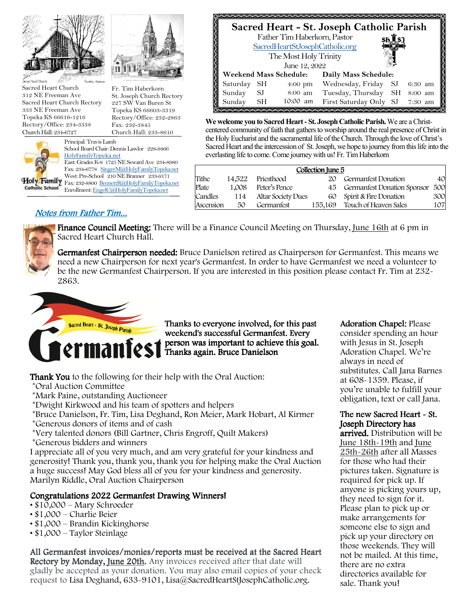



Sacred Heart Church 312 NE Freeman Ave Sacred Heart Church Rectory 333 NE Freeman Ave Topeka KS 66616-1216 Rectory/Office: 234-3338 Church Hall: 234-6727



St. Joseph Church Rectory 227 SW Van Buren St Topeka KS 66603-3319 Rectory/Office: 232-2863 Fax: 232-3845 Church Hall: 233-8610

Fr. Tim Haberkorn

School Board Chair: Dennis Lawlor 228-9466 East: Grades K-8 1725 NE Seward Ave 234-8980 Fax: 234-6778 SingerM@HolyFamilyTopeka.net West: Pre-School 210 NE Branner 233-9171

Holy Family Fax: 232-8800 BennettR@HolyFamilyTopeka.net Enrollment: EngelC@HolyFamilyTopeka.net



**We welcome you to Sacred Heart - St. Joseph Catholic Parish.** We are a Christcentered community of faith that gathers to worship around the real presence of Christ in the Holy Eucharist and the sacramental life of the Church. Through the love of Christ's Sacred Heart and the intercession of St. Joseph, we hope to journey from this life into the everlasting life to come. Come journey with us! Fr. Tim Haberkorn

|           |        |                           | Collection June 5 |                             |     |
|-----------|--------|---------------------------|-------------------|-----------------------------|-----|
| Tithe     | 14.522 | Priesthood                | 20                | Germanfest Donation         | 40  |
| Plate     | 1.008  | Peter's Pence             | 45                | Germanfest Donation Sponsor | 500 |
| Candles   | 114    | <b>Altar Society Dues</b> | 60                | Spirit & Fire Donation      | 300 |
| Ascension | 50     | Germanfest                | 155,169           | Touch of Heaven Sales       | 107 |

## Notes from Father Tim...



Finance Council Meeting: There will be a Finance Council Meeting on Thursday, June 16th at 6 pm in Sacred Heart Church Hall.

Germanfest Chairperson needed: Bruce Danielson retired as Chairperson for Germanfest. This means we need a new Chairperson for next year's Germanfest. In order to have Germanfest we need a volunteer to be the new Germanfest Chairperson. If you are interested in this position please contact Fr. Tim at 232- 2863.



Thanks to everyone involved, for this past weekend's successful Germanfest. Every person was important to achieve this goal. Thanks again. Bruce Danielson

**Thank You** to the following for their help with the Oral Auction:

\*Oral Auction Committee

\*Mark Paine, outstanding Auctioneer

\*Dwight Kirkwood and his team of spotters and helpers

\*Bruce Danielson, Fr. Tim, Lisa Deghand, Ron Meier, Mark Hobart, Al Kirmer

\*Generous donors of items and of cash

\*Very talented donors (Bill Gartner, Chris Engroff, Quilt Makers)

\*Generous bidders and winners

I appreciate all of you very much, and am very grateful for your kindness and generosity! Thank you, thank you, thank you for helping make the Oral Auction a huge success! May God bless all of you for your kindness and generosity. Marilyn Riddle, Oral Auction Chairperson

### Congratulations 2022 Germanfest Drawing Winners!

- \$10,000 Mary Schroeder
- \$1,000 Charlie Beier
- \$1,000 Brandin Kickinghorse
- \$1,000 Taylor Steinlage

All Germanfest invoices/monies/reports must be received at the Sacred Heart Rectory by Monday, June 20th. Any invoices received after that date will gladly be accepted as your donation. You may also email copies of your check request to Lisa Deghand, 633-9101, Lisa@SacredHeartStJosephCatholic.org.

Adoration Chapel: Please consider spending an hour

with Jesus in St. Joseph Adoration Chapel. We're always in need of substitutes. Call Jana Barnes at 608-1359. Please, if you're unable to fulfill your obligation, text or call Jana.

### The new Sacred Heart - St. Joseph Directory has

arrived. Distribution will be June 18th-19th and June 25th-26th after all Masses for those who had their pictures taken. Signature is required for pick up. If anyone is picking yours up, they need to sign for it. Please plan to pick up or make arrangements for someone else to sign and pick up your directory on those weekends. They will not be mailed. At this time, there are no extra directories available for sale. Thank you!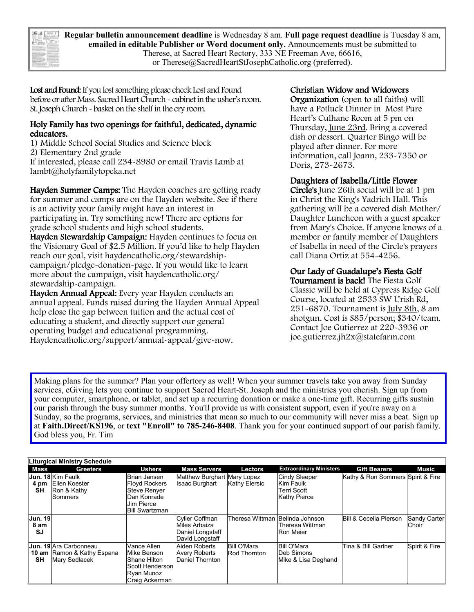| $\sim$<br>--<br>--<br><b>CONTROL</b><br>u<br>$\sim$                                                                                                                                                                                                      | ----<br><b>COLOR</b><br><b>STATISTICS</b><br>$-100$<br>≕<br>1.11<br><b>Service</b><br>=<br>≂<br><b>CONTRACTOR</b><br>----<br>ದ :<br>$\frac{1}{2}$<br>to him as he had a com-                                                                                                                            |
|----------------------------------------------------------------------------------------------------------------------------------------------------------------------------------------------------------------------------------------------------------|---------------------------------------------------------------------------------------------------------------------------------------------------------------------------------------------------------------------------------------------------------------------------------------------------------|
| <br>o.<br><b><i>Reduction Service Services</i></b>                                                                                                                                                                                                       | the property of the first term of the con-<br><b><i>CARL CARL CALL CALL</i></b><br><b>STAND</b><br>--<br>٠<br>٠<br>$\sim$<br>--<br>u.<br>. .                                                                                                                                                            |
| $-$<br>$\sim$<br><b>EXISTENCIAL</b><br>and a feature better than<br>the factor and in city of the<br>-----<br><b>MAIL &amp; Turbulle Trade Technical Re-</b><br>The book of the Control and                                                              | - -<br>-<br>٠<br>the in four to be transition for a<br>to and of the anniversary brings<br>Search to connect to change in below<br>total class a primary in the class<br>ally also believe to become and<br>the area between the Concer-                                                                |
| <b>START SIGNAL</b><br>m<br><b>CARD AND ROOM OF STREET</b><br>And Carl State and Carl State and<br>allowed the above to believe the state<br>and because the party and a property of<br>when most a grant flow or an analysis                            | <b>PAYADOREE</b><br>The manufacturers and the Control of<br>CARLO CARDONAL CAR<br>and a looke way to find his<br>the first of the control and the control                                                                                                                                               |
| actions from 1 to those<br>Indicate Americans is borning of<br>the company's product to the company's company's<br>Catalog Chrysler Corp. In 1987 a Week<br>ad data insura a top commo-<br>a contract today a special part sender<br>Philadelphia (1970) | and the state of the control of<br>the dealer was an end that<br><b>CONTRACTOR</b><br>has been in a community show.<br>all the first party and the first control<br>the first the state is concluded into<br>allow them of these was paid to be the                                                     |
| <b>CALL ROUND THE TANK</b><br>-----<br>College and College in the College and<br>www.last.facturer.com/com/com/<br>and his fire over 1 is being the below<br>in terms who beneficially the first                                                         | the first control of the control of the control of the con-<br>the two himselves in how it has<br>to be an interest form and the control<br>and a deliver with \$10 damn limit and star-<br>allow a distribution and contact<br><b>SELLER IN STREET COMPANY</b><br>and the complete at most look of all |
| structure 1 for businesses.<br>the state and she is the believe the<br><b>Carl Ave</b><br><b>A 2 DOM HOMES</b><br>the state that the best of the state of                                                                                                | <b>RASSOURCE</b><br>955<br><b>SUSPICE AND LONGE</b><br>nowa 1000<br>in the collection program<br><b>Carl Arrest</b>                                                                                                                                                                                     |
| to the property and the property of the<br>a sales sharpers and a<br>the file that matters is become the first<br><b>CONTRACTOR</b>                                                                                                                      | ことてすいいいいい<br><b>CONTRACTOR</b><br>.<br>between the distribution<br><b>Marine of Carl State and</b><br>the firm and control the product of the ad-                                                                                                                                                       |

**Regular bulletin announcement deadline** is Wednesday 8 am. **Full page request deadline** is Tuesday 8 am, **emailed in editable Publisher or Word document only.** Announcements must be submitted to Therese, at Sacred Heart Rectory, 333 NE Freeman Ave, 66616, or Therese@SacredHeartStJosephCatholic.org (preferred).

Lost and Found: If you lost something please check Lost and Found before or after Mass. Sacred Heart Church - cabinet in the usher's room. St. Joseph Church - basket on the shelf in the cry room.

#### Holy Family has two openings for faithful, dedicated, dynamic educators.

1) Middle School Social Studies and Science block 2) Elementary 2nd grade If interested, please call 234-8980 or email Travis Lamb at lambt@holyfamilytopeka.net

Hayden Summer Camps: The Hayden coaches are getting ready for summer and camps are on the Hayden website. See if there is an activity your family might have an interest in participating in. Try something new! There are options for grade school students and high school students. Hayden Stewardship Campaign: Hayden continues to focus on the Visionary Goal of \$2.5 Million. If you'd like to help Hayden reach our goal, visit haydencatholic.org/stewardshipcampaign/pledge-donation-page. If you would like to learn more about the campaign, visit haydencatholic.org/ stewardship-campaign.

Hayden Annual Appeal: Every year Hayden conducts an annual appeal. Funds raised during the Hayden Annual Appeal help close the gap between tuition and the actual cost of educating a student, and directly support our general operating budget and educational programming. Haydencatholic.org/support/annual-appeal/give-now.

# Christian Widow and Widowers

Organization (open to all faiths) will have a Potluck Dinner in Most Pure Heart's Culhane Room at 5 pm on Thursday, June 23rd. Bring a covered dish or dessert. Quarter Bingo will be played after dinner. For more information, call Joann, 233-7350 or Doris, 273-2673.

#### Daughters of Isabella/Little Flower

Circle's June 26th social will be at 1 pm in Christ the King's Yadrich Hall. This gathering will be a covered dish Mother/ Daughter Luncheon with a guest speaker from Mary's Choice. If anyone knows of a member or family member of Daughters of Isabella in need of the Circle's prayers call Diana Ortiz at 554-4256.

# Our Lady of Guadalupe's Fiesta Golf

Tournament is back! The Fiesta Golf Classic will be held at Cypress Ridge Golf Course, located at 2533 SW Urish Rd, 251-6870. Tournament is July 8th, 8 am shotgun. Cost is \$85/person; \$340/team. Contact Joe Gutierrez at 220-3936 or joe.gutierrez.jh2x@statefarm.com

Making plans for the summer? Plan your offertory as well! When your summer travels take you away from Sunday services, eGiving lets you continue to support Sacred Heart-St. Joseph and the ministries you cherish. Sign up from your computer, smartphone, or tablet, and set up a recurring donation or make a one-time gift. Recurring gifts sustain our parish through the busy summer months. You'll provide us with consistent support, even if you're away on a Sunday, so the programs, services, and ministries that mean so much to our community will never miss a beat. Sign up at **Faith.Direct/KS196**, or **text "Enroll" to 785-246-8408**. Thank you for your continued support of our parish family. God bless you, Fr. Tim

|                        | <b>Liturgical Ministry Schedule</b>                                          |                                                                                                                   |                                                                        |                                    |                                                                         |                                   |                       |
|------------------------|------------------------------------------------------------------------------|-------------------------------------------------------------------------------------------------------------------|------------------------------------------------------------------------|------------------------------------|-------------------------------------------------------------------------|-----------------------------------|-----------------------|
| Mass                   | <b>Greeters</b>                                                              | <b>Ushers</b>                                                                                                     | <b>Mass Servers</b>                                                    | Lectors                            | <b>Extraordinary Ministers</b>                                          | <b>Gift Bearers</b>               | <b>Music</b>          |
| 4 pm<br><b>SH</b>      | <b>Jun. 18 Ki</b> m Faulk<br>Ellen Koester<br>Ron & Kathy<br>Sommers         | Brian Jansen<br><b>Floyd Rockers</b><br><b>Steve Renyer</b><br>Dan Konrade<br>Jim Pierce<br><b>Bill Swartzman</b> | Matthew Burghart Mary Lopez<br><b>Isaac Burghart</b>                   | Kathy Elersic                      | <b>Cindy Sleeper</b><br>Kim Faulk<br>Terri Scott<br><b>Kathy Pierce</b> | Kathy & Ron Sommers Spirit & Fire |                       |
| Jun. 19 <br>8 am<br>SJ |                                                                              |                                                                                                                   | Cylier Coffman<br>Miles Arbaiza<br>Daniel Longstaff<br>David Longstaff | Theresa Wittman Belinda Johnson    | Theresa Wittman<br><b>Ron Meier</b>                                     | <b>Bill &amp; Cecelia Pierson</b> | Sandy Carter<br>Choir |
| SΗ                     | <b>Jun. 19 Ara Carbonneau</b><br>10 am Ramon & Kathy Espana<br>Mary Sedlacek | Vance Allen<br>Mike Benson<br>Shane Hilton<br>Scott Henderson<br>Ryan Munoz<br>Craig Ackerman                     | Aiden Roberts<br><b>Avery Roberts</b><br>Daniel Thornton               | Bill O'Mara<br><b>Rod Thornton</b> | <b>Bill O'Mara</b><br>Deb Simons<br>Mike & Lisa Deghand                 | Tina & Bill Gartner               | Spirit & Fire         |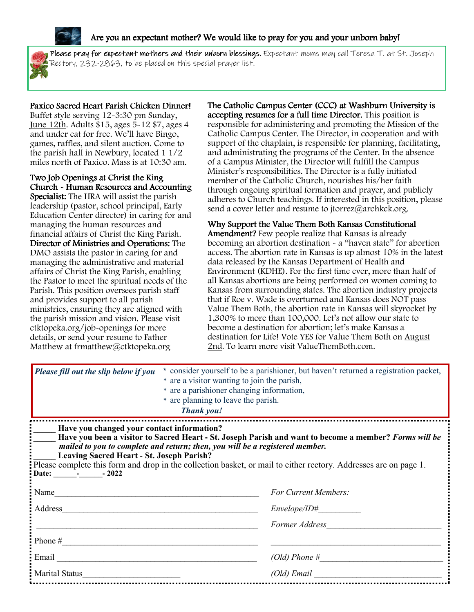

#### Are you an expectant mother? We would like to pray for you and your unborn baby!



**Please pray for expectant mothers and their unborn blessings.** Expectant moms may call Teresa T. at St. Joseph Rectory, 232-2863, to be placed on this special prayer list.

### Paxico Sacred Heart Parish Chicken Dinner!

Buffet style serving 12-3:30 pm Sunday, June 12th. Adults \$15, ages 5-12 \$7, ages 4 and under eat for free. We'll have Bingo, games, raffles, and silent auction. Come to the parish hall in Newbury, located 1 1/2 miles north of Paxico. Mass is at 10:30 am.

Two Job Openings at Christ the King Church - Human Resources and Accounting Specialist: The HRA will assist the parish leadership (pastor, school principal, Early Education Center director) in caring for and managing the human resources and financial affairs of Christ the King Parish. Director of Ministries and Operations: The DMO assists the pastor in caring for and managing the administrative and material affairs of Christ the King Parish, enabling the Pastor to meet the spiritual needs of the Parish. This position oversees parish staff and provides support to all parish ministries, ensuring they are aligned with the parish mission and vision. Please visit ctktopeka.org/job-openings for more details, or send your resume to Father Matthew at frmatthew@ctktopeka.org

The Catholic Campus Center (CCC) at Washburn University is accepting resumes for a full time Director. This position is responsible for administering and promoting the Mission of the Catholic Campus Center. The Director, in cooperation and with support of the chaplain, is responsible for planning, facilitating, and administrating the programs of the Center. In the absence of a Campus Minister, the Director will fulfill the Campus Minister's responsibilities. The Director is a fully initiated member of the Catholic Church, nourishes his/her faith through ongoing spiritual formation and prayer, and publicly adheres to Church teachings. If interested in this position, please send a cover letter and resume to jtorrez@archkck.org.

Why Support the Value Them Both Kansas Constitutional Amendment? Few people realize that Kansas is already becoming an abortion destination - a "haven state" for abortion access. The abortion rate in Kansas is up almost 10% in the latest data released by the Kansas Department of Health and Environment (KDHE). For the first time ever, more than half of all Kansas abortions are being performed on women coming to Kansas from surrounding states. The abortion industry projects that if Roe v. Wade is overturned and Kansas does NOT pass Value Them Both, the abortion rate in Kansas will skyrocket by 1,300% to more than 100,000. Let's not allow our state to become a destination for abortion; let's make Kansas a destination for Life! Vote YES for Value Them Both on August 2nd. To learn more visit ValueThemBoth.com.

| Please fill out the slip below if you                                                                        | * consider yourself to be a parishioner, but haven't returned a registration packet,<br>* are a visitor wanting to join the parish,<br>* are a parishioner changing information,<br>* are planning to leave the parish.<br><b>Thank you!</b>                                                                                                                           |
|--------------------------------------------------------------------------------------------------------------|------------------------------------------------------------------------------------------------------------------------------------------------------------------------------------------------------------------------------------------------------------------------------------------------------------------------------------------------------------------------|
| Have you changed your contact information?<br><b>Leaving Sacred Heart - St. Joseph Parish?</b><br>Date: 1022 | Have you been a visitor to Sacred Heart - St. Joseph Parish and want to become a member? Forms will be<br>mailed to you to complete and return; then, you will be a registered member.<br>Please complete this form and drop in the collection basket, or mail to either rectory. Addresses are on page 1.                                                             |
| Name                                                                                                         | For Current Members:                                                                                                                                                                                                                                                                                                                                                   |
| Address                                                                                                      | Envelope / ID#                                                                                                                                                                                                                                                                                                                                                         |
|                                                                                                              | Former Address                                                                                                                                                                                                                                                                                                                                                         |
|                                                                                                              |                                                                                                                                                                                                                                                                                                                                                                        |
|                                                                                                              | $(Old)$ Phone $\#$                                                                                                                                                                                                                                                                                                                                                     |
| Marital Status                                                                                               | $(Old)$ Email $\qquad \qquad$ $\qquad \qquad$ $\qquad \qquad$ $\qquad \qquad$ $\qquad \qquad$ $\qquad \qquad$ $\qquad \qquad$ $\qquad \qquad$ $\qquad \qquad$ $\qquad \qquad$ $\qquad \qquad$ $\qquad$ $\qquad \qquad$ $\qquad$ $\qquad$ $\qquad$ $\qquad$ $\qquad$ $\qquad$ $\qquad$ $\qquad$ $\qquad$ $\qquad$ $\qquad$ $\qquad$ $\qquad$ $\qquad$ $\qquad$ $\qquad$ |